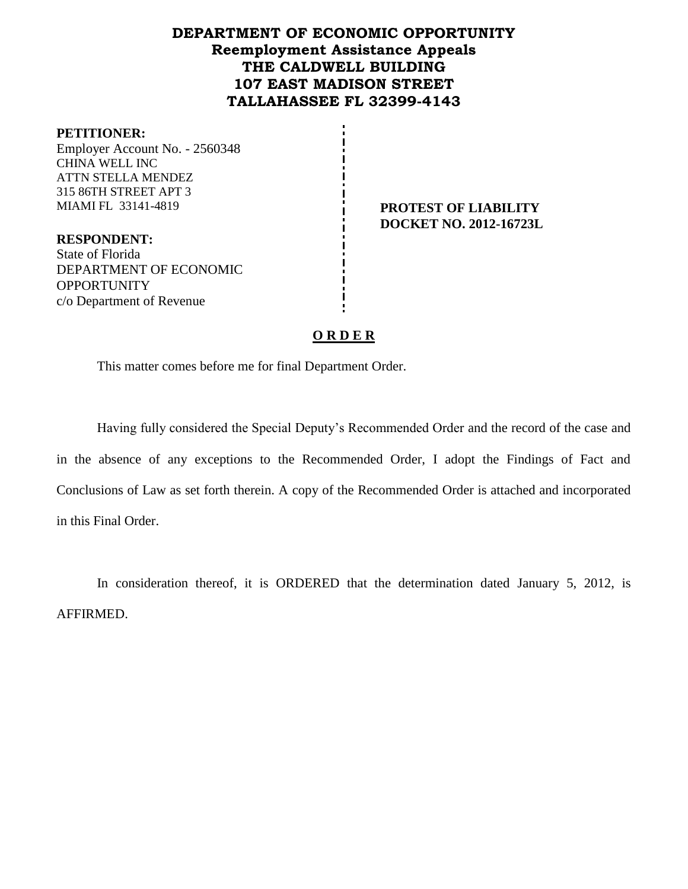# **DEPARTMENT OF ECONOMIC OPPORTUNITY Reemployment Assistance Appeals THE CALDWELL BUILDING 107 EAST MADISON STREET TALLAHASSEE FL 32399-4143**

#### **PETITIONER:**

Employer Account No. - 2560348 CHINA WELL INC ATTN STELLA MENDEZ 315 86TH STREET APT 3 MIAMI FL 33141-4819 **PROTEST OF LIABILITY**

**DOCKET NO. 2012-16723L**

**RESPONDENT:** State of Florida DEPARTMENT OF ECONOMIC **OPPORTUNITY** c/o Department of Revenue

## **O R D E R**

This matter comes before me for final Department Order.

Having fully considered the Special Deputy's Recommended Order and the record of the case and in the absence of any exceptions to the Recommended Order, I adopt the Findings of Fact and Conclusions of Law as set forth therein. A copy of the Recommended Order is attached and incorporated in this Final Order.

In consideration thereof, it is ORDERED that the determination dated January 5, 2012, is AFFIRMED.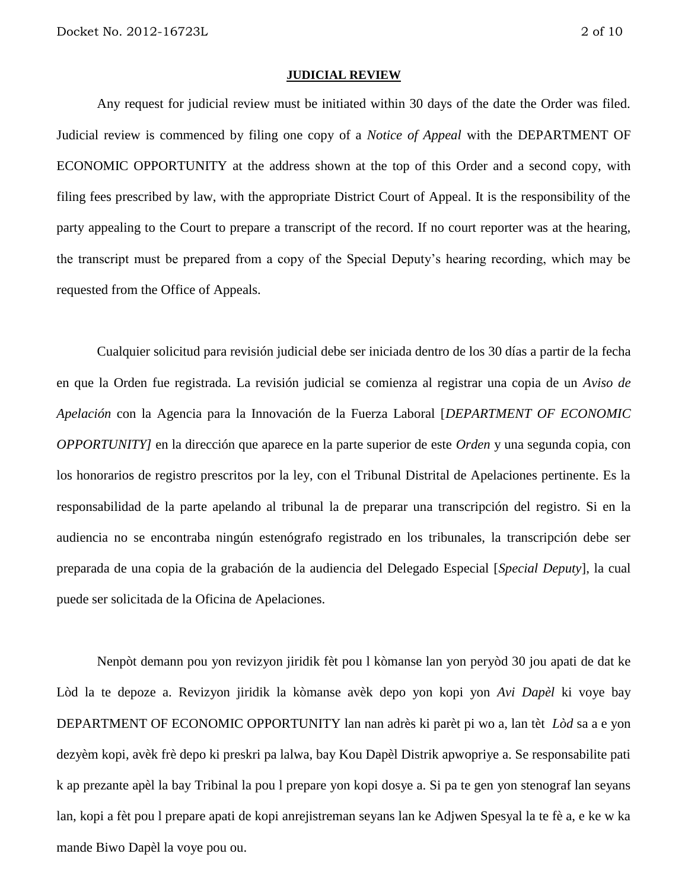#### **JUDICIAL REVIEW**

Any request for judicial review must be initiated within 30 days of the date the Order was filed. Judicial review is commenced by filing one copy of a *Notice of Appeal* with the DEPARTMENT OF ECONOMIC OPPORTUNITY at the address shown at the top of this Order and a second copy, with filing fees prescribed by law, with the appropriate District Court of Appeal. It is the responsibility of the party appealing to the Court to prepare a transcript of the record. If no court reporter was at the hearing, the transcript must be prepared from a copy of the Special Deputy's hearing recording, which may be requested from the Office of Appeals.

Cualquier solicitud para revisión judicial debe ser iniciada dentro de los 30 días a partir de la fecha en que la Orden fue registrada. La revisión judicial se comienza al registrar una copia de un *Aviso de Apelación* con la Agencia para la Innovación de la Fuerza Laboral [*DEPARTMENT OF ECONOMIC OPPORTUNITY]* en la dirección que aparece en la parte superior de este *Orden* y una segunda copia, con los honorarios de registro prescritos por la ley, con el Tribunal Distrital de Apelaciones pertinente. Es la responsabilidad de la parte apelando al tribunal la de preparar una transcripción del registro. Si en la audiencia no se encontraba ningún estenógrafo registrado en los tribunales, la transcripción debe ser preparada de una copia de la grabación de la audiencia del Delegado Especial [*Special Deputy*], la cual puede ser solicitada de la Oficina de Apelaciones.

Nenpòt demann pou yon revizyon jiridik fèt pou l kòmanse lan yon peryòd 30 jou apati de dat ke Lòd la te depoze a. Revizyon jiridik la kòmanse avèk depo yon kopi yon *Avi Dapèl* ki voye bay DEPARTMENT OF ECONOMIC OPPORTUNITY lan nan adrès ki parèt pi wo a, lan tèt *Lòd* sa a e yon dezyèm kopi, avèk frè depo ki preskri pa lalwa, bay Kou Dapèl Distrik apwopriye a. Se responsabilite pati k ap prezante apèl la bay Tribinal la pou l prepare yon kopi dosye a. Si pa te gen yon stenograf lan seyans lan, kopi a fèt pou l prepare apati de kopi anrejistreman seyans lan ke Adjwen Spesyal la te fè a, e ke w ka mande Biwo Dapèl la voye pou ou.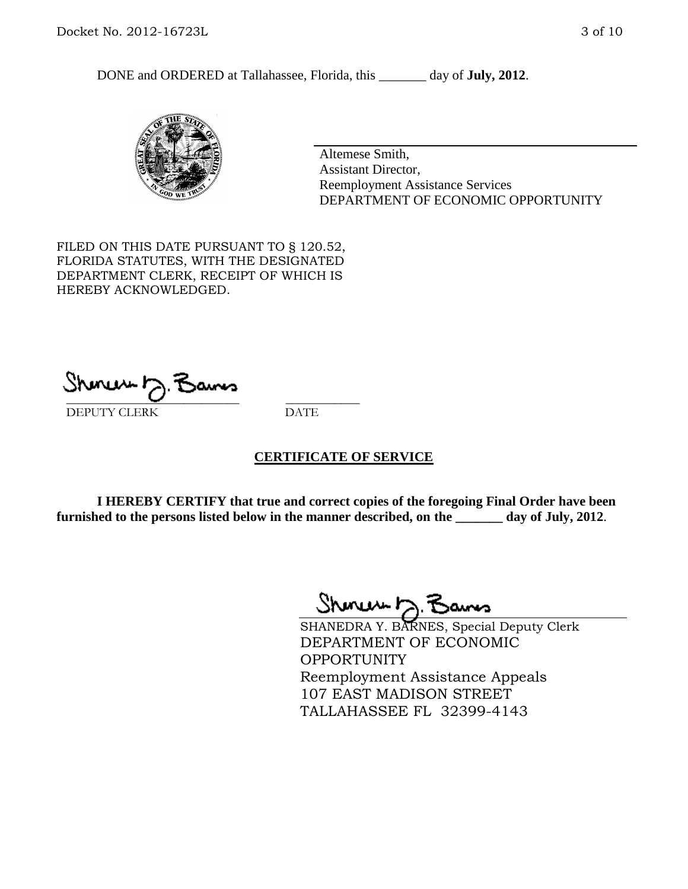DONE and ORDERED at Tallahassee, Florida, this day of **July, 2012**.



Altemese Smith, Assistant Director, Reemployment Assistance Services DEPARTMENT OF ECONOMIC OPPORTUNITY

FILED ON THIS DATE PURSUANT TO § 120.52, FLORIDA STATUTES, WITH THE DESIGNATED DEPARTMENT CLERK, RECEIPT OF WHICH IS HEREBY ACKNOWLEDGED.

\_\_\_\_\_\_\_\_\_\_\_\_\_\_\_\_\_\_\_\_\_\_\_\_\_\_\_\_ \_\_\_\_\_\_\_\_\_\_\_\_ DEPUTY CLERK DATE

## **CERTIFICATE OF SERVICE**

**I HEREBY CERTIFY that true and correct copies of the foregoing Final Order have been furnished to the persons listed below in the manner described, on the \_\_\_\_\_\_\_ day of July, 2012**.

Shmun 12.Z

SHANEDRA Y. BARNES, Special Deputy Clerk DEPARTMENT OF ECONOMIC OPPORTUNITY Reemployment Assistance Appeals 107 EAST MADISON STREET TALLAHASSEE FL 32399-4143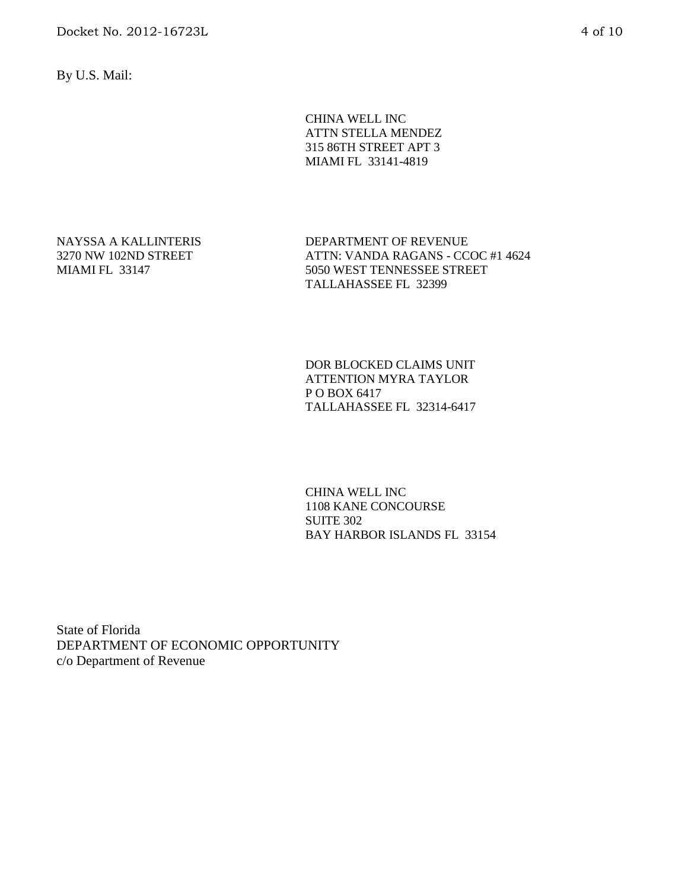By U.S. Mail:

CHINA WELL INC ATTN STELLA MENDEZ 315 86TH STREET APT 3 MIAMI FL 33141-4819

NAYSSA A KALLINTERIS 3270 NW 102ND STREET MIAMI FL 33147

DEPARTMENT OF REVENUE ATTN: VANDA RAGANS - CCOC #1 4624 5050 WEST TENNESSEE STREET TALLAHASSEE FL 32399

DOR BLOCKED CLAIMS UNIT ATTENTION MYRA TAYLOR P O BOX 6417 TALLAHASSEE FL 32314-6417

CHINA WELL INC 1108 KANE CONCOURSE SUITE 302 BAY HARBOR ISLANDS FL 33154

State of Florida DEPARTMENT OF ECONOMIC OPPORTUNITY c/o Department of Revenue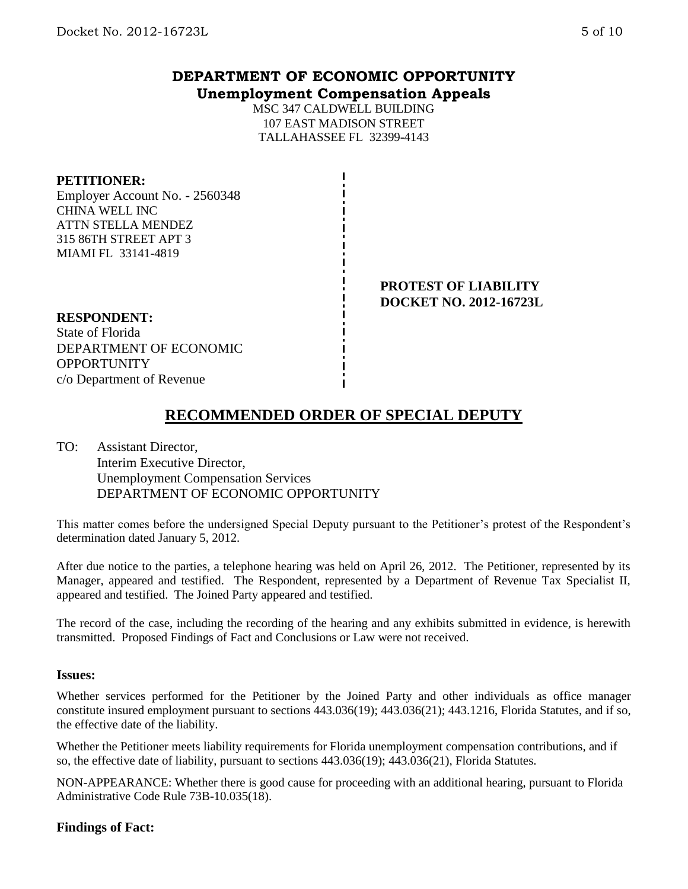## **DEPARTMENT OF ECONOMIC OPPORTUNITY Unemployment Compensation Appeals**

MSC 347 CALDWELL BUILDING 107 EAST MADISON STREET TALLAHASSEE FL 32399-4143

## **PETITIONER:**

Employer Account No. - 2560348 CHINA WELL INC ATTN STELLA MENDEZ 315 86TH STREET APT 3 MIAMI FL 33141-4819

> **PROTEST OF LIABILITY DOCKET NO. 2012-16723L**

#### **RESPONDENT:**

State of Florida DEPARTMENT OF ECONOMIC **OPPORTUNITY** c/o Department of Revenue

# **RECOMMENDED ORDER OF SPECIAL DEPUTY**

TO: Assistant Director, Interim Executive Director, Unemployment Compensation Services DEPARTMENT OF ECONOMIC OPPORTUNITY

This matter comes before the undersigned Special Deputy pursuant to the Petitioner's protest of the Respondent's determination dated January 5, 2012.

After due notice to the parties, a telephone hearing was held on April 26, 2012. The Petitioner, represented by its Manager, appeared and testified. The Respondent, represented by a Department of Revenue Tax Specialist II, appeared and testified. The Joined Party appeared and testified.

The record of the case, including the recording of the hearing and any exhibits submitted in evidence, is herewith transmitted. Proposed Findings of Fact and Conclusions or Law were not received.

#### **Issues:**

Whether services performed for the Petitioner by the Joined Party and other individuals as office manager constitute insured employment pursuant to sections 443.036(19); 443.036(21); 443.1216, Florida Statutes, and if so, the effective date of the liability.

Whether the Petitioner meets liability requirements for Florida unemployment compensation contributions, and if so, the effective date of liability, pursuant to sections 443.036(19); 443.036(21), Florida Statutes.

NON-APPEARANCE: Whether there is good cause for proceeding with an additional hearing, pursuant to Florida Administrative Code Rule 73B-10.035(18).

## **Findings of Fact:**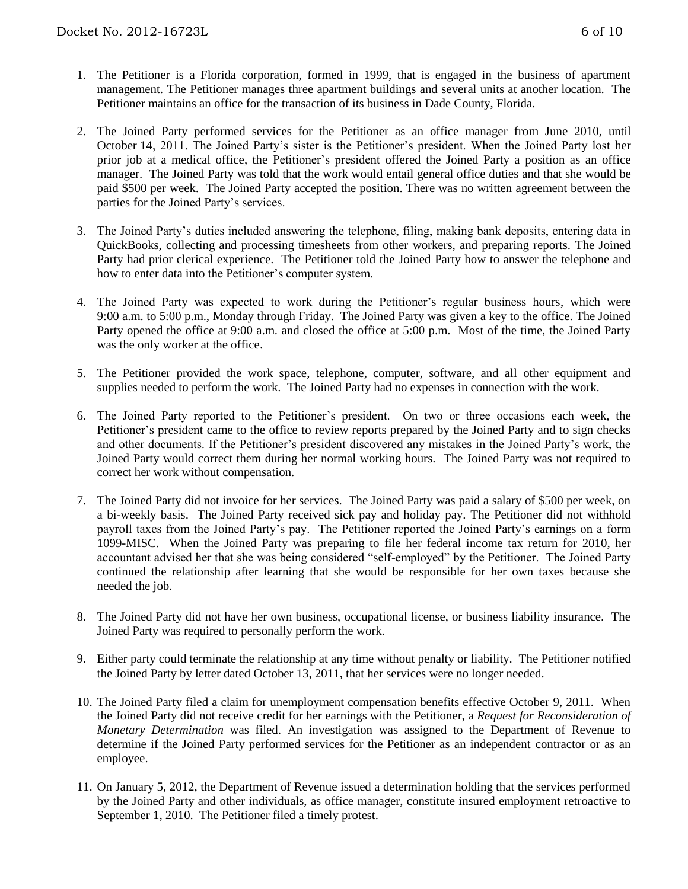- 1. The Petitioner is a Florida corporation, formed in 1999, that is engaged in the business of apartment management. The Petitioner manages three apartment buildings and several units at another location. The Petitioner maintains an office for the transaction of its business in Dade County, Florida.
- 2. The Joined Party performed services for the Petitioner as an office manager from June 2010, until October 14, 2011. The Joined Party's sister is the Petitioner's president. When the Joined Party lost her prior job at a medical office, the Petitioner's president offered the Joined Party a position as an office manager. The Joined Party was told that the work would entail general office duties and that she would be paid \$500 per week. The Joined Party accepted the position. There was no written agreement between the parties for the Joined Party's services.
- 3. The Joined Party's duties included answering the telephone, filing, making bank deposits, entering data in QuickBooks, collecting and processing timesheets from other workers, and preparing reports. The Joined Party had prior clerical experience. The Petitioner told the Joined Party how to answer the telephone and how to enter data into the Petitioner's computer system.
- 4. The Joined Party was expected to work during the Petitioner's regular business hours, which were 9:00 a.m. to 5:00 p.m., Monday through Friday. The Joined Party was given a key to the office. The Joined Party opened the office at 9:00 a.m. and closed the office at 5:00 p.m. Most of the time, the Joined Party was the only worker at the office.
- 5. The Petitioner provided the work space, telephone, computer, software, and all other equipment and supplies needed to perform the work. The Joined Party had no expenses in connection with the work.
- 6. The Joined Party reported to the Petitioner's president. On two or three occasions each week, the Petitioner's president came to the office to review reports prepared by the Joined Party and to sign checks and other documents. If the Petitioner's president discovered any mistakes in the Joined Party's work, the Joined Party would correct them during her normal working hours. The Joined Party was not required to correct her work without compensation.
- 7. The Joined Party did not invoice for her services. The Joined Party was paid a salary of \$500 per week, on a bi-weekly basis. The Joined Party received sick pay and holiday pay. The Petitioner did not withhold payroll taxes from the Joined Party's pay. The Petitioner reported the Joined Party's earnings on a form 1099-MISC. When the Joined Party was preparing to file her federal income tax return for 2010, her accountant advised her that she was being considered "self-employed" by the Petitioner. The Joined Party continued the relationship after learning that she would be responsible for her own taxes because she needed the job.
- 8. The Joined Party did not have her own business, occupational license, or business liability insurance. The Joined Party was required to personally perform the work.
- 9. Either party could terminate the relationship at any time without penalty or liability. The Petitioner notified the Joined Party by letter dated October 13, 2011, that her services were no longer needed.
- 10. The Joined Party filed a claim for unemployment compensation benefits effective October 9, 2011. When the Joined Party did not receive credit for her earnings with the Petitioner, a *Request for Reconsideration of Monetary Determination* was filed. An investigation was assigned to the Department of Revenue to determine if the Joined Party performed services for the Petitioner as an independent contractor or as an employee.
- 11. On January 5, 2012, the Department of Revenue issued a determination holding that the services performed by the Joined Party and other individuals, as office manager, constitute insured employment retroactive to September 1, 2010. The Petitioner filed a timely protest.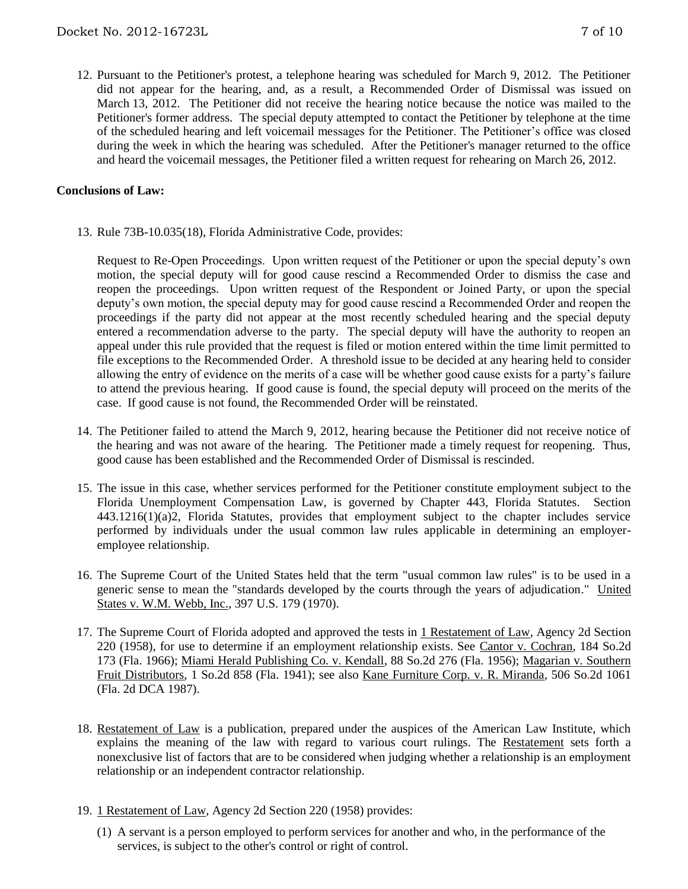12. Pursuant to the Petitioner's protest, a telephone hearing was scheduled for March 9, 2012. The Petitioner did not appear for the hearing, and, as a result, a Recommended Order of Dismissal was issued on March 13, 2012. The Petitioner did not receive the hearing notice because the notice was mailed to the Petitioner's former address. The special deputy attempted to contact the Petitioner by telephone at the time of the scheduled hearing and left voicemail messages for the Petitioner. The Petitioner's office was closed during the week in which the hearing was scheduled. After the Petitioner's manager returned to the office and heard the voicemail messages, the Petitioner filed a written request for rehearing on March 26, 2012.

#### **Conclusions of Law:**

13. Rule 73B-10.035(18), Florida Administrative Code, provides:

Request to Re-Open Proceedings. Upon written request of the Petitioner or upon the special deputy's own motion, the special deputy will for good cause rescind a Recommended Order to dismiss the case and reopen the proceedings. Upon written request of the Respondent or Joined Party, or upon the special deputy's own motion, the special deputy may for good cause rescind a Recommended Order and reopen the proceedings if the party did not appear at the most recently scheduled hearing and the special deputy entered a recommendation adverse to the party. The special deputy will have the authority to reopen an appeal under this rule provided that the request is filed or motion entered within the time limit permitted to file exceptions to the Recommended Order. A threshold issue to be decided at any hearing held to consider allowing the entry of evidence on the merits of a case will be whether good cause exists for a party's failure to attend the previous hearing. If good cause is found, the special deputy will proceed on the merits of the case. If good cause is not found, the Recommended Order will be reinstated.

- 14. The Petitioner failed to attend the March 9, 2012, hearing because the Petitioner did not receive notice of the hearing and was not aware of the hearing. The Petitioner made a timely request for reopening. Thus, good cause has been established and the Recommended Order of Dismissal is rescinded.
- 15. The issue in this case, whether services performed for the Petitioner constitute employment subject to the Florida Unemployment Compensation Law, is governed by Chapter 443, Florida Statutes. Section 443.1216(1)(a)2, Florida Statutes, provides that employment subject to the chapter includes service performed by individuals under the usual common law rules applicable in determining an employeremployee relationship.
- 16. The Supreme Court of the United States held that the term "usual common law rules" is to be used in a generic sense to mean the "standards developed by the courts through the years of adjudication." United States v. W.M. Webb, Inc., 397 U.S. 179 (1970).
- 17. The Supreme Court of Florida adopted and approved the tests in 1 Restatement of Law, Agency 2d Section 220 (1958), for use to determine if an employment relationship exists. See Cantor v. Cochran, 184 So.2d 173 (Fla. 1966); Miami Herald Publishing Co. v. Kendall, 88 So.2d 276 (Fla. 1956); Magarian v. Southern Fruit Distributors, 1 So.2d 858 (Fla. 1941); see also Kane Furniture Corp. v. R. Miranda, 506 So.2d 1061 (Fla. 2d DCA 1987).
- 18. Restatement of Law is a publication, prepared under the auspices of the American Law Institute, which explains the meaning of the law with regard to various court rulings. The Restatement sets forth a nonexclusive list of factors that are to be considered when judging whether a relationship is an employment relationship or an independent contractor relationship.
- 19. 1 Restatement of Law, Agency 2d Section 220 (1958) provides:
	- (1) A servant is a person employed to perform services for another and who, in the performance of the services, is subject to the other's control or right of control.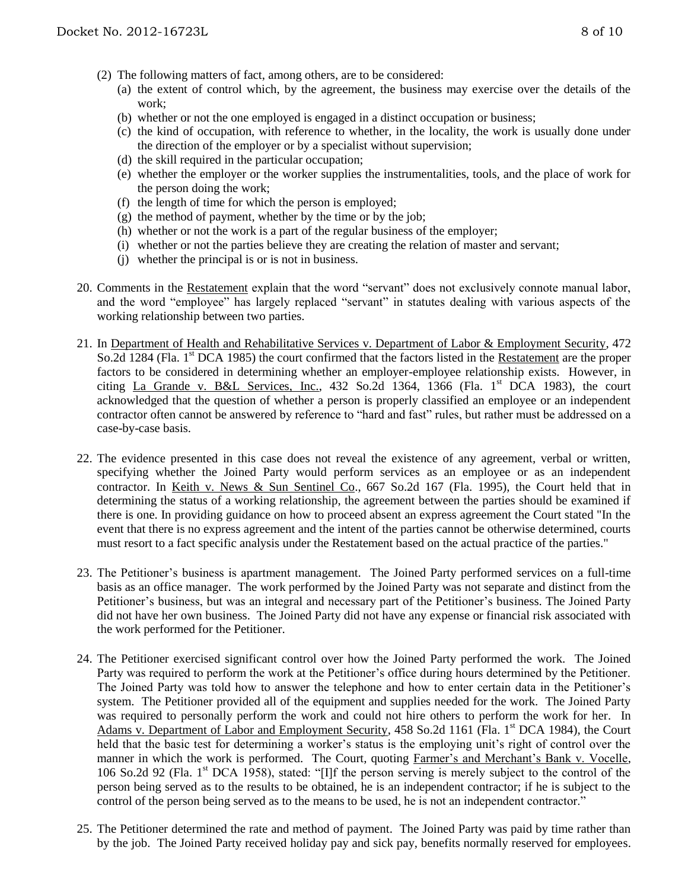- (2) The following matters of fact, among others, are to be considered:
	- (a) the extent of control which, by the agreement, the business may exercise over the details of the work;
	- (b) whether or not the one employed is engaged in a distinct occupation or business;
	- (c) the kind of occupation, with reference to whether, in the locality, the work is usually done under the direction of the employer or by a specialist without supervision;
	- (d) the skill required in the particular occupation;
	- (e) whether the employer or the worker supplies the instrumentalities, tools, and the place of work for the person doing the work;
	- (f) the length of time for which the person is employed;
	- $(g)$  the method of payment, whether by the time or by the job;
	- (h) whether or not the work is a part of the regular business of the employer;
	- (i) whether or not the parties believe they are creating the relation of master and servant;
	- (j) whether the principal is or is not in business.
- 20. Comments in the Restatement explain that the word "servant" does not exclusively connote manual labor, and the word "employee" has largely replaced "servant" in statutes dealing with various aspects of the working relationship between two parties.
- 21. In Department of Health and Rehabilitative Services v. Department of Labor & Employment Security, 472 So.2d 1284 (Fla. 1<sup>st</sup> DCA 1985) the court confirmed that the factors listed in the Restatement are the proper factors to be considered in determining whether an employer-employee relationship exists. However, in citing La Grande v. B&L Services, Inc., 432 So.2d 1364, 1366 (Fla.  $1<sup>st</sup>$  DCA 1983), the court acknowledged that the question of whether a person is properly classified an employee or an independent contractor often cannot be answered by reference to "hard and fast" rules, but rather must be addressed on a case-by-case basis.
- 22. The evidence presented in this case does not reveal the existence of any agreement, verbal or written, specifying whether the Joined Party would perform services as an employee or as an independent contractor. In Keith v. News & Sun Sentinel Co., 667 So.2d 167 (Fla. 1995), the Court held that in determining the status of a working relationship, the agreement between the parties should be examined if there is one. In providing guidance on how to proceed absent an express agreement the Court stated "In the event that there is no express agreement and the intent of the parties cannot be otherwise determined, courts must resort to a fact specific analysis under the Restatement based on the actual practice of the parties."
- 23. The Petitioner's business is apartment management. The Joined Party performed services on a full-time basis as an office manager. The work performed by the Joined Party was not separate and distinct from the Petitioner's business, but was an integral and necessary part of the Petitioner's business. The Joined Party did not have her own business. The Joined Party did not have any expense or financial risk associated with the work performed for the Petitioner.
- 24. The Petitioner exercised significant control over how the Joined Party performed the work. The Joined Party was required to perform the work at the Petitioner's office during hours determined by the Petitioner. The Joined Party was told how to answer the telephone and how to enter certain data in the Petitioner's system. The Petitioner provided all of the equipment and supplies needed for the work. The Joined Party was required to personally perform the work and could not hire others to perform the work for her. In Adams v. Department of Labor and Employment Security, 458 So.2d 1161 (Fla. 1<sup>st</sup> DCA 1984), the Court held that the basic test for determining a worker's status is the employing unit's right of control over the manner in which the work is performed. The Court, quoting Farmer's and Merchant's Bank v. Vocelle, 106 So.2d 92 (Fla. 1<sup>st</sup> DCA 1958), stated: "[I]f the person serving is merely subject to the control of the person being served as to the results to be obtained, he is an independent contractor; if he is subject to the control of the person being served as to the means to be used, he is not an independent contractor."
- 25. The Petitioner determined the rate and method of payment. The Joined Party was paid by time rather than by the job. The Joined Party received holiday pay and sick pay, benefits normally reserved for employees.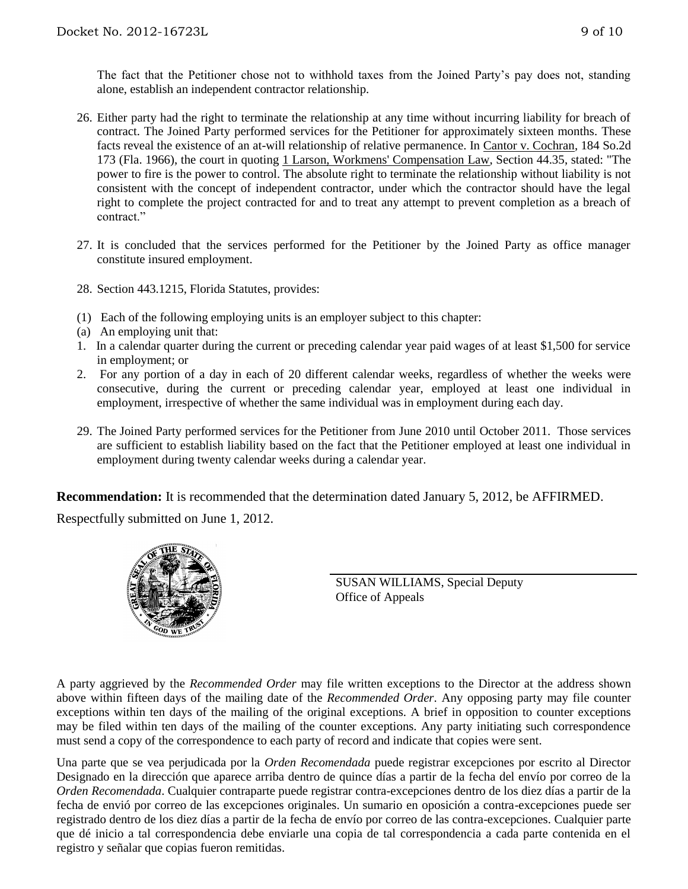The fact that the Petitioner chose not to withhold taxes from the Joined Party's pay does not, standing alone, establish an independent contractor relationship.

- 26. Either party had the right to terminate the relationship at any time without incurring liability for breach of contract. The Joined Party performed services for the Petitioner for approximately sixteen months. These facts reveal the existence of an at-will relationship of relative permanence. In Cantor v. Cochran, 184 So.2d 173 (Fla. 1966), the court in quoting 1 Larson, Workmens' Compensation Law, Section 44.35, stated: "The power to fire is the power to control. The absolute right to terminate the relationship without liability is not consistent with the concept of independent contractor, under which the contractor should have the legal right to complete the project contracted for and to treat any attempt to prevent completion as a breach of contract."
- 27. It is concluded that the services performed for the Petitioner by the Joined Party as office manager constitute insured employment.
- 28. Section 443.1215, Florida Statutes, provides:
- (1) Each of the following employing units is an employer subject to this chapter:
- (a) An employing unit that:
- 1. In a calendar quarter during the current or preceding calendar year paid wages of at least \$1,500 for service in employment; or
- 2. For any portion of a day in each of 20 different calendar weeks, regardless of whether the weeks were consecutive, during the current or preceding calendar year, employed at least one individual in employment, irrespective of whether the same individual was in employment during each day.
- 29. The Joined Party performed services for the Petitioner from June 2010 until October 2011. Those services are sufficient to establish liability based on the fact that the Petitioner employed at least one individual in employment during twenty calendar weeks during a calendar year.

**Recommendation:** It is recommended that the determination dated January 5, 2012, be AFFIRMED.

Respectfully submitted on June 1, 2012.



SUSAN WILLIAMS, Special Deputy Office of Appeals

A party aggrieved by the *Recommended Order* may file written exceptions to the Director at the address shown above within fifteen days of the mailing date of the *Recommended Order*. Any opposing party may file counter exceptions within ten days of the mailing of the original exceptions. A brief in opposition to counter exceptions may be filed within ten days of the mailing of the counter exceptions. Any party initiating such correspondence must send a copy of the correspondence to each party of record and indicate that copies were sent.

Una parte que se vea perjudicada por la *Orden Recomendada* puede registrar excepciones por escrito al Director Designado en la dirección que aparece arriba dentro de quince días a partir de la fecha del envío por correo de la *Orden Recomendada*. Cualquier contraparte puede registrar contra-excepciones dentro de los diez días a partir de la fecha de envió por correo de las excepciones originales. Un sumario en oposición a contra-excepciones puede ser registrado dentro de los diez días a partir de la fecha de envío por correo de las contra-excepciones. Cualquier parte que dé inicio a tal correspondencia debe enviarle una copia de tal correspondencia a cada parte contenida en el registro y señalar que copias fueron remitidas.